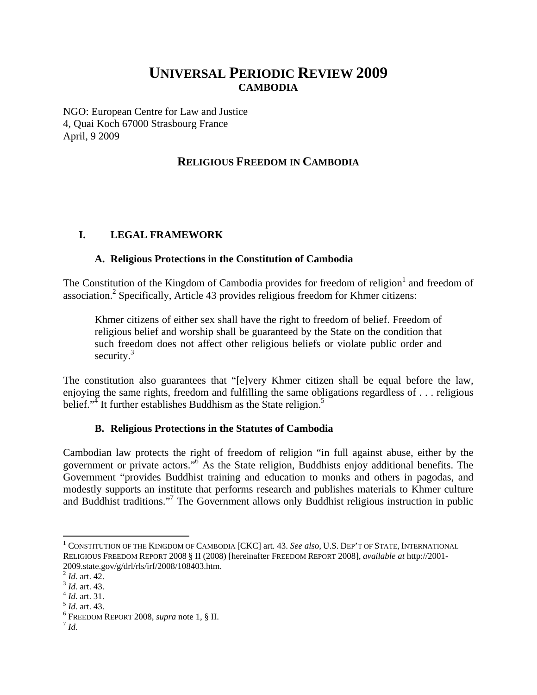# **UNIVERSAL PERIODIC REVIEW 2009 CAMBODIA**

NGO: European Centre for Law and Justice 4, Quai Koch 67000 Strasbourg France April, 9 2009

## **RELIGIOUS FREEDOM IN CAMBODIA**

#### **I. LEGAL FRAMEWORK**

#### **A. Religious Protections in the Constitution of Cambodia**

The Constitution of the Kingdom of Cambodia provides for freedom of religion<sup>1</sup> and freedom of association.<sup>2</sup> Specifically, Article 43 provides religious freedom for Khmer citizens:

Khmer citizens of either sex shall have the right to freedom of belief. Freedom of religious belief and worship shall be guaranteed by the State on the condition that such freedom does not affect other religious beliefs or violate public order and security. $3$ 

The constitution also guarantees that "[e]very Khmer citizen shall be equal before the law, enjoying the same rights, freedom and fulfilling the same obligations regardless of . . . religious belief."<sup>4</sup> It further establishes Buddhism as the State religion.<sup>5</sup>

#### **B. Religious Protections in the Statutes of Cambodia**

Cambodian law protects the right of freedom of religion "in full against abuse, either by the government or private actors."<sup>6</sup> As the State religion, Buddhists enjoy additional benefits. The Government "provides Buddhist training and education to monks and others in pagodas, and modestly supports an institute that performs research and publishes materials to Khmer culture and Buddhist traditions."<sup>7</sup> The Government allows only Buddhist religious instruction in public

 $\overline{a}$ 

<sup>1</sup> CONSTITUTION OF THE KINGDOM OF CAMBODIA [CKC] art. 43. *See also*, U.S. DEP'T OF STATE, INTERNATIONAL RELIGIOUS FREEDOM REPORT 2008 § II (2008) [hereinafter FREEDOM REPORT 2008], *available at* http://2001- 2009.state.gov/g/drl/rls/irf/2008/108403.htm.<sup>2</sup> Id. art. 42.

<sup>2</sup> *Id.* art. 42. 3 *Id.* art. 43. 4 *Id.* art. 31. 5 *Id.* art. 43. 6

 $^6$  Freedom Report 2008, *supra* note 1, § II.  $^7$  *Id.*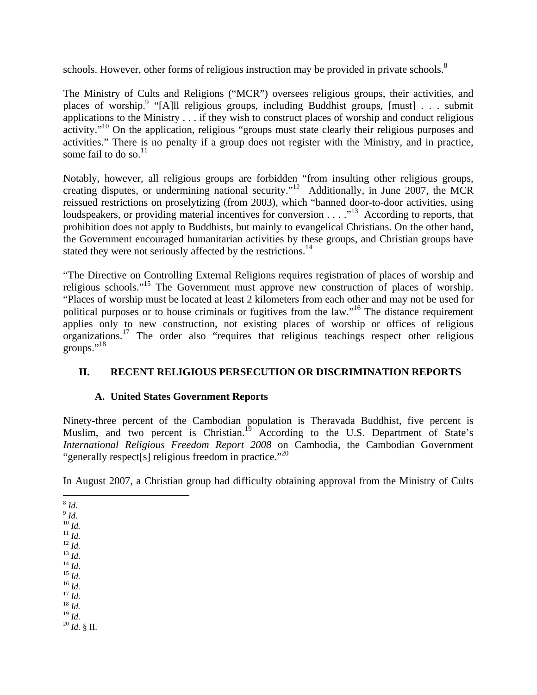schools. However, other forms of religious instruction may be provided in private schools. $8$ 

The Ministry of Cults and Religions ("MCR") oversees religious groups, their activities, and places of worship.<sup>9</sup> "[A]ll religious groups, including Buddhist groups, [must] . . . submit applications to the Ministry . . . if they wish to construct places of worship and conduct religious activity."<sup>10</sup> On the application, religious "groups must state clearly their religious purposes and activities." There is no penalty if a group does not register with the Ministry, and in practice, some fail to do so.<sup>11</sup>

Notably, however, all religious groups are forbidden "from insulting other religious groups, creating disputes, or undermining national security."12 Additionally, in June 2007, the MCR reissued restrictions on proselytizing (from 2003), which "banned door-to-door activities, using loudspeakers, or providing material incentives for conversion . . . .<sup>13</sup> According to reports, that prohibition does not apply to Buddhists, but mainly to evangelical Christians. On the other hand, the Government encouraged humanitarian activities by these groups, and Christian groups have stated they were not seriously affected by the restrictions.<sup>14</sup>

"The Directive on Controlling External Religions requires registration of places of worship and religious schools."15 The Government must approve new construction of places of worship. "Places of worship must be located at least 2 kilometers from each other and may not be used for political purposes or to house criminals or fugitives from the law."16 The distance requirement applies only to new construction, not existing places of worship or offices of religious organizations.<sup>17</sup> The order also "requires that religious teachings respect other religious groups." $^{18}$ 

## **II. RECENT RELIGIOUS PERSECUTION OR DISCRIMINATION REPORTS**

### **A. United States Government Reports**

Ninety-three percent of the Cambodian population is Theravada Buddhist, five percent is Muslim, and two percent is Christian.<sup>19</sup> According to the U.S. Department of State's *International Religious Freedom Report 2008* on Cambodia, the Cambodian Government "generally respect[s] religious freedom in practice."<sup>20</sup>

In August 2007, a Christian group had difficulty obtaining approval from the Ministry of Cults

- <sup>9</sup> *Id.*
- 
- 
- 
- 
- 
- 
- 
- 10 *Id.* 11 *Id.* 12 *Id.* 13 *Id*. 14 *Id*. 15 *Id.* 16 *Id.* 17 *Id.* 18 *Id.*
- <sup>19</sup> *Id.* <sup>20</sup> *Id.* § II.

<sup>1</sup> <sup>8</sup> *Id.*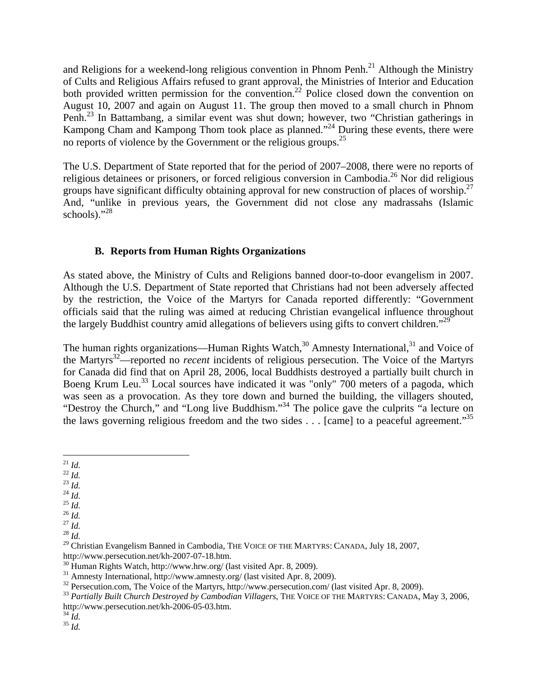and Religions for a weekend-long religious convention in Phnom Penh.<sup>21</sup> Although the Ministry of Cults and Religious Affairs refused to grant approval, the Ministries of Interior and Education both provided written permission for the convention.<sup>22</sup> Police closed down the convention on August 10, 2007 and again on August 11. The group then moved to a small church in Phnom Penh.23 In Battambang, a similar event was shut down; however, two "Christian gatherings in Kampong Cham and Kampong Thom took place as planned."<sup>24</sup> During these events, there were no reports of violence by the Government or the religious groups.<sup>25</sup>

The U.S. Department of State reported that for the period of 2007–2008, there were no reports of religious detainees or prisoners, or forced religious conversion in Cambodia.26 Nor did religious groups have significant difficulty obtaining approval for new construction of places of worship.<sup>27</sup> And, "unlike in previous years, the Government did not close any madrassahs (Islamic schools)."<sup>28</sup>

#### **B. Reports from Human Rights Organizations**

As stated above, the Ministry of Cults and Religions banned door-to-door evangelism in 2007. Although the U.S. Department of State reported that Christians had not been adversely affected by the restriction, the Voice of the Martyrs for Canada reported differently: "Government officials said that the ruling was aimed at reducing Christian evangelical influence throughout the largely Buddhist country amid allegations of believers using gifts to convert children."<sup>29</sup>

The human rights organizations—Human Rights Watch,<sup>30</sup> Amnesty International,<sup>31</sup> and Voice of the Martyrs32—reported no *recent* incidents of religious persecution. The Voice of the Martyrs for Canada did find that on April 28, 2006, local Buddhists destroyed a partially built church in Boeng Krum Leu.<sup>33</sup> Local sources have indicated it was "only" 700 meters of a pagoda, which was seen as a provocation. As they tore down and burned the building, the villagers shouted, "Destroy the Church," and "Long live Buddhism."<sup>34</sup> The police gave the culprits "a lecture on the laws governing religious freedom and the two sides . . . [came] to a peaceful agreement."35

- 
- 
- 
- 
- 
- 21 *Id.* 22 *Id.* 23 *Id.* 24 *Id.* 25 *Id.* 26 *Id.* 27 *Id.* 28 *Id.*

 $^{\mathrm{21}}$   $ld.$ 

<sup>&</sup>lt;sup>29</sup> Christian Evangelism Banned in Cambodia, THE VOICE OF THE MARTYRS: CANADA, July 18, 2007,

http://www.persecution.net/kh-2007-07-18.htm.<br><sup>30</sup> Human Rights Watch, http://www.hrw.org/ (last visited Apr. 8, 2009).<br><sup>31</sup> Amnesty International, http://www.amnesty.org/ (last visited Apr. 8, 2009).

<sup>&</sup>lt;sup>32</sup> Persecution.com, The Voice of the Martyrs, http://www.persecution.com/ (last visited Apr. 8, 2009).<br><sup>33</sup> *Partially Built Church Destroyed by Cambodian Villagers*, THE VOICE OF THE MARTYRS: CANADA, May 3, 2006,

http://www.persecution.net/kh-2006-05-03.htm. 34 *Id.* <sup>35</sup> *Id.*